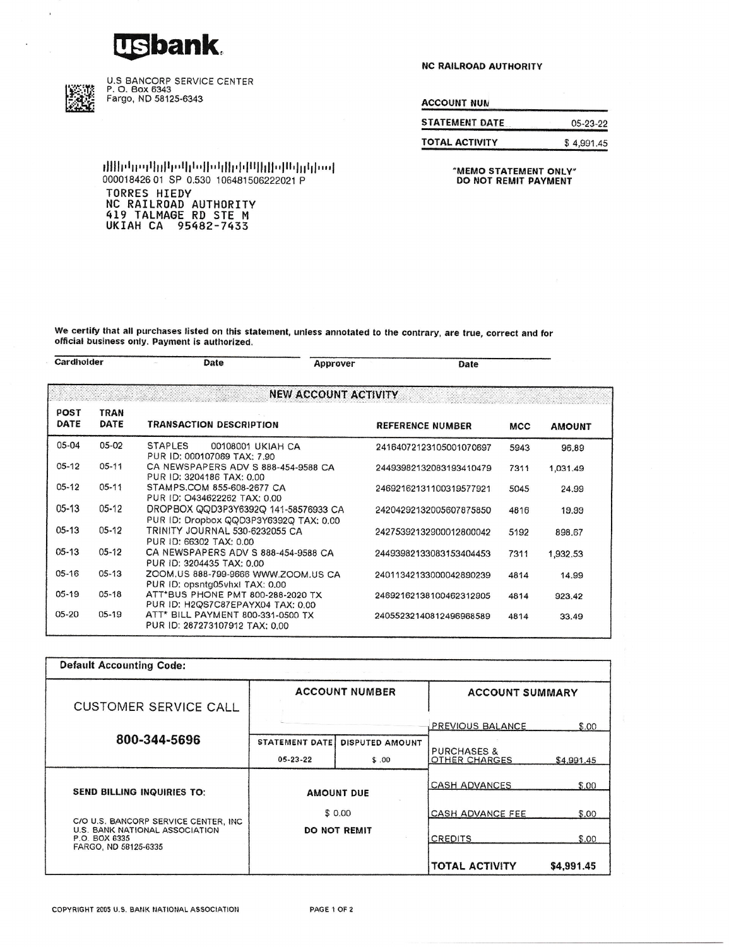## **Usbank**



 $\overline{\phantom{a}}$ 

U.S BANCORP SERVICE CENTER<br>P. O. Box 6343<br>Fargo, ND 58125-6343

**NC RAILROAD AUTHORITY** 

**ACCOUNT NUM** 

| <b>STATEMENT DATE</b> | $05-23-22$ |
|-----------------------|------------|
| <b>TOTAL ACTIVITY</b> | \$4,991.45 |

"MEMO STATEMENT ONLY" DO NOT REMIT PAYMENT

իակմլիժԱթվիկնիկականիպիկալիսությին 000018426 01 SP 0.530 106481506222021 P **TORRES HIEDY<br>NC RAILROAD AUTHORITY<br>419 TALMAGE RD STE M<br>UKIAH CA 95482-7433** 

We certify that all purchases listed on this statement, unless annotated to the contrary, are true, correct and for official business only. Payment is authorized.

| Cardholder          |                             | Date                                                                           | Approver | Date                    |            |               |
|---------------------|-----------------------------|--------------------------------------------------------------------------------|----------|-------------------------|------------|---------------|
|                     | <b>NEW ACCOUNT ACTIVITY</b> |                                                                                |          |                         |            |               |
| <b>POST</b><br>DATE | <b>TRAN</b><br>DATE         | <b>TRANSACTION DESCRIPTION</b>                                                 |          | <b>REFERENCE NUMBER</b> | <b>MCC</b> | <b>AMOUNT</b> |
| 05-04               | 05-02                       | <b>STAPLES</b><br>00108001 UKIAH CA<br>PUR ID: 000107069 TAX: 7.90             |          | 24164072123105001070697 | 5943       | 96.89         |
| $05-12$             | $05 - 11$                   | CA NEWSPAPERS ADV S 888-454-9588 CA<br>PUR ID: 3204186 TAX: 0.00               |          | 24493982132083193410479 | 7311       | 1,031.49      |
| $05 - 12$           | $05 - 11$                   | STAMPS.COM 855-608-2677 CA<br>PUR ID: 0434622262 TAX: 0.00                     |          | 24692162131100319577921 | 5045       | 24.99         |
| $05-13$             | $05 - 12$                   | DROPBOX QQD3P3Y6392Q 141-58576933 CA<br>PUR ID: Dropbox QQD3P3Y6392Q TAX: 0.00 |          | 24204292132005607875850 | 4816       | 19.99         |
| $05-13$             | $05-12$                     | TRINITY JOURNAL 530-6232055 CA<br>PUR ID: 66302 TAX: 0.00                      |          | 24275392132900012800042 | 5192       | 898.67        |
| $05-13$             | $05-12$                     | CA NEWSPAPERS ADV S 888-454-9588 CA<br>PUR ID: 3204435 TAX: 0.00               |          | 24493982133083153404453 | 7311       | 1,932.53      |
| $05-16$             | $05-13$                     | ZOOM.US 888-799-9666 WWW.ZOOM.US CA<br>PUR ID: opsntg05vhxl TAX: 0.00          |          | 24011342133000042890239 | 4814       | 14.99         |
| $05-19$             | $05 - 18$                   | ATT*BUS PHONE PMT 800-288-2020 TX<br>PUR ID: H2QS7C87EPAYX04 TAX: 0.00         |          | 24692162138100462312905 | 4814       | 923.42        |
| $05-20$             | $05-19$                     | ATT* BILL PAYMENT 800-331-0500 TX<br>PUR ID: 287273107912 TAX: 0.00            |          | 24055232140812496968589 | 4814       | 33.49         |

| <b>Default Accounting Code:</b>                                                          |                               |                        |                                         |            |
|------------------------------------------------------------------------------------------|-------------------------------|------------------------|-----------------------------------------|------------|
| <b>CUSTOMER SERVICE CALL</b>                                                             | <b>ACCOUNT NUMBER</b>         |                        | <b>ACCOUNT SUMMARY</b>                  |            |
|                                                                                          |                               |                        | PREVIOUS BALANCE                        | \$.00.     |
| 800-344-5696                                                                             | <b>STATEMENT DATE</b>         | <b>DISPUTED AMOUNT</b> |                                         |            |
|                                                                                          | $05 - 23 - 22$                | \$.00                  | <b>PURCHASES &amp;</b><br>OTHER CHARGES | \$4,991.45 |
|                                                                                          | <b>AMOUNT DUE</b>             |                        | <b>CASH ADVANCES</b>                    | \$.00      |
| <b>SEND BILLING INQUIRIES TO:</b>                                                        |                               |                        |                                         |            |
|                                                                                          | \$0.00<br><b>DO NOT REMIT</b> |                        | <b>CASH ADVANCE FEE</b>                 | \$.00      |
| C/O U.S. BANCORP SERVICE CENTER, INC.<br>U.S. BANK NATIONAL ASSOCIATION<br>P.O. BOX 6335 |                               |                        | <b>CREDITS</b>                          | \$.00      |
| FARGO, ND 58125-6335                                                                     |                               |                        | <b>TOTAL ACTIVITY</b>                   | \$4,991.45 |